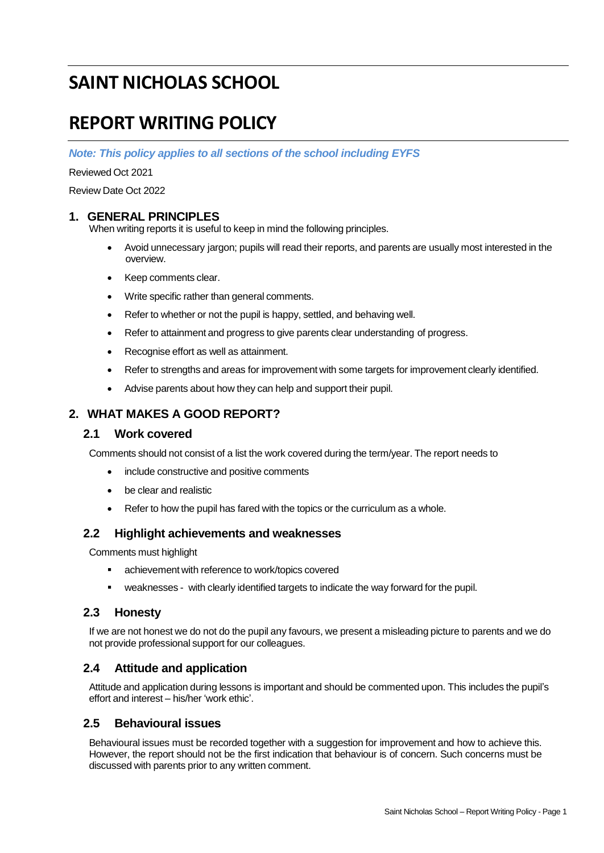# **SAINT NICHOLAS SCHOOL**

# **REPORT WRITING POLICY**

*Note: This policy applies to all sections of the school including EYFS*

Reviewed Oct 2021

Review Date Oct 2022

## **1. GENERAL PRINCIPLES**

When writing reports it is useful to keep in mind the following principles.

- Avoid unnecessary jargon; pupils will read their reports, and parents are usually most interested in the overview.
- Keep comments clear.
- Write specific rather than general comments.
- Refer to whether or not the pupil is happy, settled, and behaving well.
- Refer to attainment and progress to give parents clear understanding of progress.
- Recognise effort as well as attainment.
- Refer to strengths and areas for improvement with some targets for improvement clearly identified.
- Advise parents about how they can help and support their pupil.

# **2. WHAT MAKES A GOOD REPORT?**

### **2.1 Work covered**

Comments should not consist of a list the work covered during the term/year. The report needs to

- include constructive and positive comments
- be clear and realistic
- Refer to how the pupil has fared with the topics or the curriculum as a whole.

### **2.2 Highlight achievements and weaknesses**

Comments must highlight

- achievement with reference to work/topics covered
- weaknesses with clearly identified targets to indicate the way forward for the pupil.

### **2.3 Honesty**

If we are not honest we do not do the pupil any favours, we present a misleading picture to parents and we do not provide professional support for our colleagues.

## **2.4 Attitude and application**

Attitude and application during lessons is important and should be commented upon. This includes the pupil's effort and interest – his/her 'work ethic'.

### **2.5 Behavioural issues**

Behavioural issues must be recorded together with a suggestion for improvement and how to achieve this. However, the report should not be the first indication that behaviour is of concern. Such concerns must be discussed with parents prior to any written comment.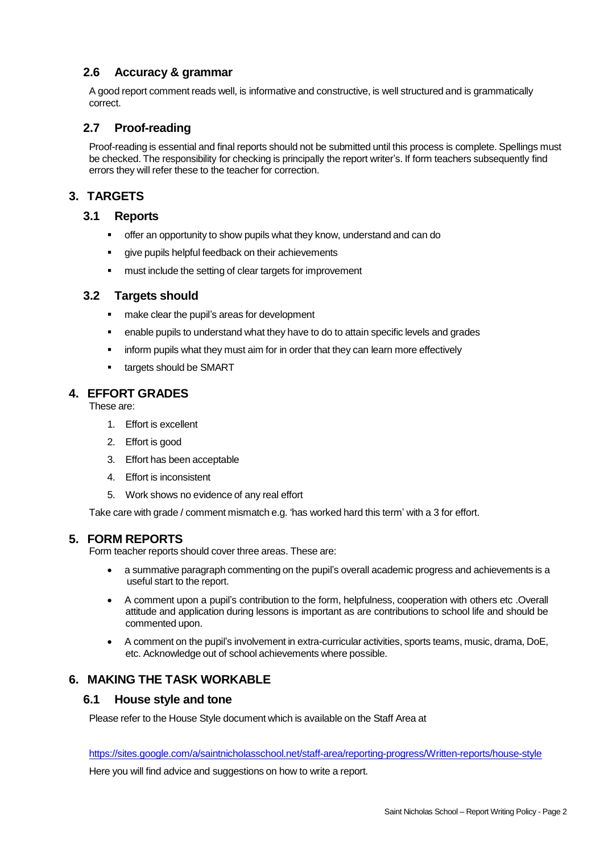## **2.6 Accuracy & grammar**

A good report comment reads well, is informative and constructive, is well structured and is grammatically correct.

## **2.7 Proof-reading**

Proof-reading is essential and final reports should not be submitted until this process is complete. Spellings must be checked. The responsibility for checking is principally the report writer's. If form teachers subsequently find errors they will refer these to the teacher for correction.

# **3. TARGETS**

#### **3.1 Reports**

- **•** offer an opportunity to show pupils what they know, understand and can do
- give pupils helpful feedback on their achievements
- must include the setting of clear targets for improvement

#### **3.2 Targets should**

- make clear the pupil's areas for development
- **•** enable pupils to understand what they have to do to attain specific levels and grades
- **•** inform pupils what they must aim for in order that they can learn more effectively
- targets should be SMART

# **4. EFFORT GRADES**

These are:

- 1. Effort is excellent
- 2. Effort is good
- 3. Effort has been acceptable
- 4. Effort is inconsistent
- 5. Work shows no evidence of any real effort

Take care with grade / comment mismatch e.g. 'has worked hard this term' with a 3 for effort.

#### **5. FORM REPORTS**

Form teacher reports should cover three areas. These are:

- a summative paragraph commenting on the pupil's overall academic progress and achievements is a useful start to the report.
- A comment upon a pupil's contribution to the form, helpfulness, cooperation with others etc .Overall attitude and application during lessons is important as are contributions to school life and should be commented upon.
- A comment on the pupil's involvement in extra-curricular activities, sports teams, music, drama, DoE, etc. Acknowledge out of school achievements where possible.

### **6. MAKING THE TASK WORKABLE**

#### **6.1 House style and tone**

Please refer to the House Style document which is available on the Staff Area at

<https://sites.google.com/a/saintnicholasschool.net/staff-area/reporting-progress/Written-reports/house-style>

Here you will find advice and suggestions on how to write a report.